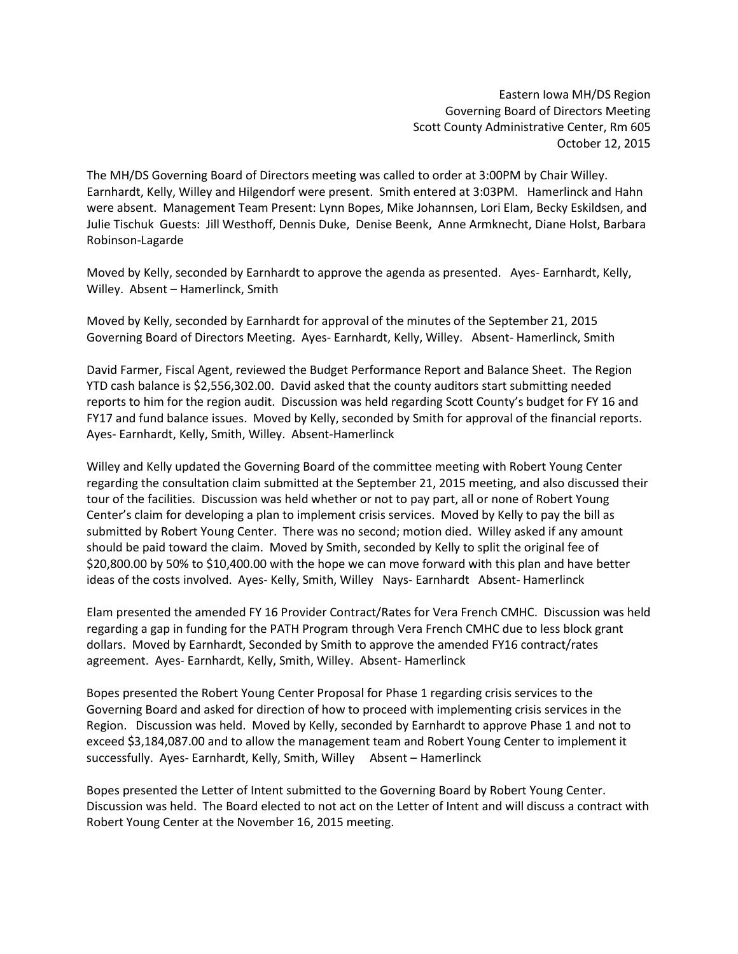## Eastern Iowa MH/DS Region Governing Board of Directors Meeting Scott County Administrative Center, Rm 605 October 12, 2015

The MH/DS Governing Board of Directors meeting was called to order at 3:00PM by Chair Willey. Earnhardt, Kelly, Willey and Hilgendorf were present. Smith entered at 3:03PM. Hamerlinck and Hahn were absent. Management Team Present: Lynn Bopes, Mike Johannsen, Lori Elam, Becky Eskildsen, and Julie Tischuk Guests: Jill Westhoff, Dennis Duke, Denise Beenk, Anne Armknecht, Diane Holst, Barbara Robinson-Lagarde

Moved by Kelly, seconded by Earnhardt to approve the agenda as presented. Ayes- Earnhardt, Kelly, Willey. Absent – Hamerlinck, Smith

Moved by Kelly, seconded by Earnhardt for approval of the minutes of the September 21, 2015 Governing Board of Directors Meeting. Ayes- Earnhardt, Kelly, Willey. Absent- Hamerlinck, Smith

David Farmer, Fiscal Agent, reviewed the Budget Performance Report and Balance Sheet. The Region YTD cash balance is \$2,556,302.00. David asked that the county auditors start submitting needed reports to him for the region audit. Discussion was held regarding Scott County's budget for FY 16 and FY17 and fund balance issues. Moved by Kelly, seconded by Smith for approval of the financial reports. Ayes- Earnhardt, Kelly, Smith, Willey. Absent-Hamerlinck

Willey and Kelly updated the Governing Board of the committee meeting with Robert Young Center regarding the consultation claim submitted at the September 21, 2015 meeting, and also discussed their tour of the facilities. Discussion was held whether or not to pay part, all or none of Robert Young Center's claim for developing a plan to implement crisis services. Moved by Kelly to pay the bill as submitted by Robert Young Center. There was no second; motion died. Willey asked if any amount should be paid toward the claim. Moved by Smith, seconded by Kelly to split the original fee of \$20,800.00 by 50% to \$10,400.00 with the hope we can move forward with this plan and have better ideas of the costs involved. Ayes- Kelly, Smith, Willey Nays- Earnhardt Absent- Hamerlinck

Elam presented the amended FY 16 Provider Contract/Rates for Vera French CMHC. Discussion was held regarding a gap in funding for the PATH Program through Vera French CMHC due to less block grant dollars. Moved by Earnhardt, Seconded by Smith to approve the amended FY16 contract/rates agreement. Ayes- Earnhardt, Kelly, Smith, Willey. Absent- Hamerlinck

Bopes presented the Robert Young Center Proposal for Phase 1 regarding crisis services to the Governing Board and asked for direction of how to proceed with implementing crisis services in the Region. Discussion was held. Moved by Kelly, seconded by Earnhardt to approve Phase 1 and not to exceed \$3,184,087.00 and to allow the management team and Robert Young Center to implement it successfully. Ayes- Earnhardt, Kelly, Smith, Willey Absent – Hamerlinck

Bopes presented the Letter of Intent submitted to the Governing Board by Robert Young Center. Discussion was held. The Board elected to not act on the Letter of Intent and will discuss a contract with Robert Young Center at the November 16, 2015 meeting.